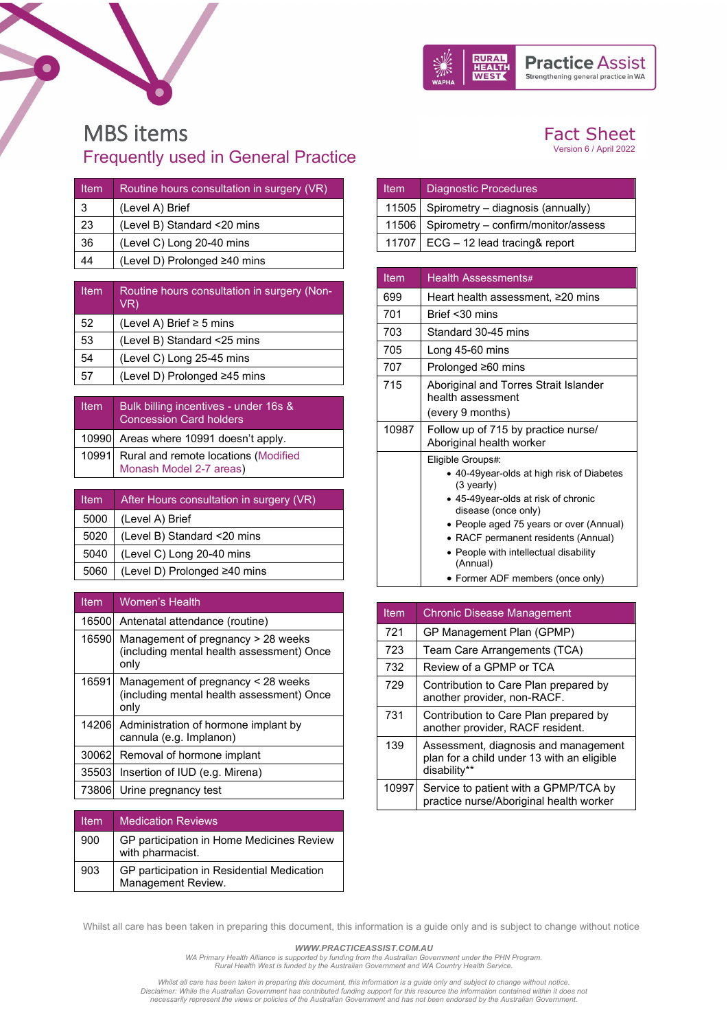



## MBS items Frequently used in General Practice

| <b>Item</b> | Routine hours consultation in surgery (VR) |
|-------------|--------------------------------------------|
| 3           | (Level A) Brief                            |
| 23          | (Level B) Standard <20 mins                |
| 36          | (Level C) Long 20-40 mins                  |
| 14          | (Level D) Prolonged ≥40 mins               |
|             |                                            |

| <b>Item</b> | Routine hours consultation in surgery (Non-<br>VR) |
|-------------|----------------------------------------------------|
| 52          | (Level A) Brief $\geq$ 5 mins                      |
| 53          | (Level B) Standard <25 mins                        |
| 54          | (Level C) Long 25-45 mins                          |
| 57          | (Level D) Prolonged ≥45 mins                       |

| <b>Item</b> | Bulk billing incentives - under 16s &<br>Concession Card holders      |
|-------------|-----------------------------------------------------------------------|
|             | 10990 Areas where 10991 doesn't apply.                                |
|             | 10991 Rural and remote locations (Modified<br>Monash Model 2-7 areas) |

| ltem | After Hours consultation in surgery (VR) |
|------|------------------------------------------|
| 5000 | (Level A) Brief                          |
| 5020 | (Level B) Standard <20 mins              |
| 5040 | (Level C) Long 20-40 mins                |
| 5060 | (Level D) Prolonged ≥40 mins             |

| <b>Item</b> | <b>Women's Health</b>                                                                   |
|-------------|-----------------------------------------------------------------------------------------|
| 16500       | Antenatal attendance (routine)                                                          |
| 16590       | Management of pregnancy > 28 weeks<br>(including mental health assessment) Once<br>only |
| 16591       | Management of pregnancy < 28 weeks<br>(including mental health assessment) Once<br>only |
|             | 14206 Administration of hormone implant by<br>cannula (e.g. Implanon)                   |
| 30062       | Removal of hormone implant                                                              |
| 35503       | Insertion of IUD (e.g. Mirena)                                                          |
| 73806       | Urine pregnancy test                                                                    |

| Item | <b>Medication Reviews</b>                                        |
|------|------------------------------------------------------------------|
| 900  | GP participation in Home Medicines Review<br>with pharmacist.    |
| 903  | GP participation in Residential Medication<br>Management Review. |

## Fact Sheet

Version 6 / April 2022

| <b>Item</b> | Diagnostic Procedures                     |
|-------------|-------------------------------------------|
|             | 11505   Spirometry - diagnosis (annually) |
|             | 11506 Spirometry - confirm/monitor/assess |
|             | 11707   ECG - 12 lead tracing& report     |

| Item  | Health Assessments#                                                                                                                                                                                                                                                                                                    |
|-------|------------------------------------------------------------------------------------------------------------------------------------------------------------------------------------------------------------------------------------------------------------------------------------------------------------------------|
| 699   | Heart health assessment, ≥20 mins                                                                                                                                                                                                                                                                                      |
| 701   | Brief $<$ 30 mins                                                                                                                                                                                                                                                                                                      |
| 703   | Standard 30-45 mins                                                                                                                                                                                                                                                                                                    |
| 705   | Long 45-60 mins                                                                                                                                                                                                                                                                                                        |
| 707   | Prolonged ≥60 mins                                                                                                                                                                                                                                                                                                     |
| 715   | Aboriginal and Torres Strait Islander<br>health assessment                                                                                                                                                                                                                                                             |
|       | (every 9 months)                                                                                                                                                                                                                                                                                                       |
| 10987 | Follow up of 715 by practice nurse/<br>Aboriginal health worker                                                                                                                                                                                                                                                        |
|       | Eligible Groups#:<br>• 40-49 year-olds at high risk of Diabetes<br>(3 yearly)<br>• 45-49year-olds at risk of chronic<br>disease (once only)<br>• People aged 75 years or over (Annual)<br>• RACF permanent residents (Annual)<br>• People with intellectual disability<br>(Annual)<br>• Former ADF members (once only) |

| Item  | <b>Chronic Disease Management</b>                                                                  |
|-------|----------------------------------------------------------------------------------------------------|
| 721   | GP Management Plan (GPMP)                                                                          |
| 723   | Team Care Arrangements (TCA)                                                                       |
| 732   | Review of a GPMP or TCA                                                                            |
| 729   | Contribution to Care Plan prepared by<br>another provider, non-RACF.                               |
| 731   | Contribution to Care Plan prepared by<br>another provider, RACF resident.                          |
| 139   | Assessment, diagnosis and management<br>plan for a child under 13 with an eligible<br>disability** |
| 10997 | Service to patient with a GPMP/TCA by<br>practice nurse/Aboriginal health worker                   |

Whilst all care has been taken in preparing this document, this information is a guide only and is subject to change without notice

*WWW.PRACTICEASSIST.COM.AU*

*WA Primary Health Alliance is supported by funding from the Australian Government under the PHN Program. Rural Health West is funded by the Australian Government and WA Country Health Service.* 

Whilst all care has been taken in preparing this document, this information is a guide only and subject to change without notice.<br>Disclaimer: While the Australian Government has contributed funding support for this resourc